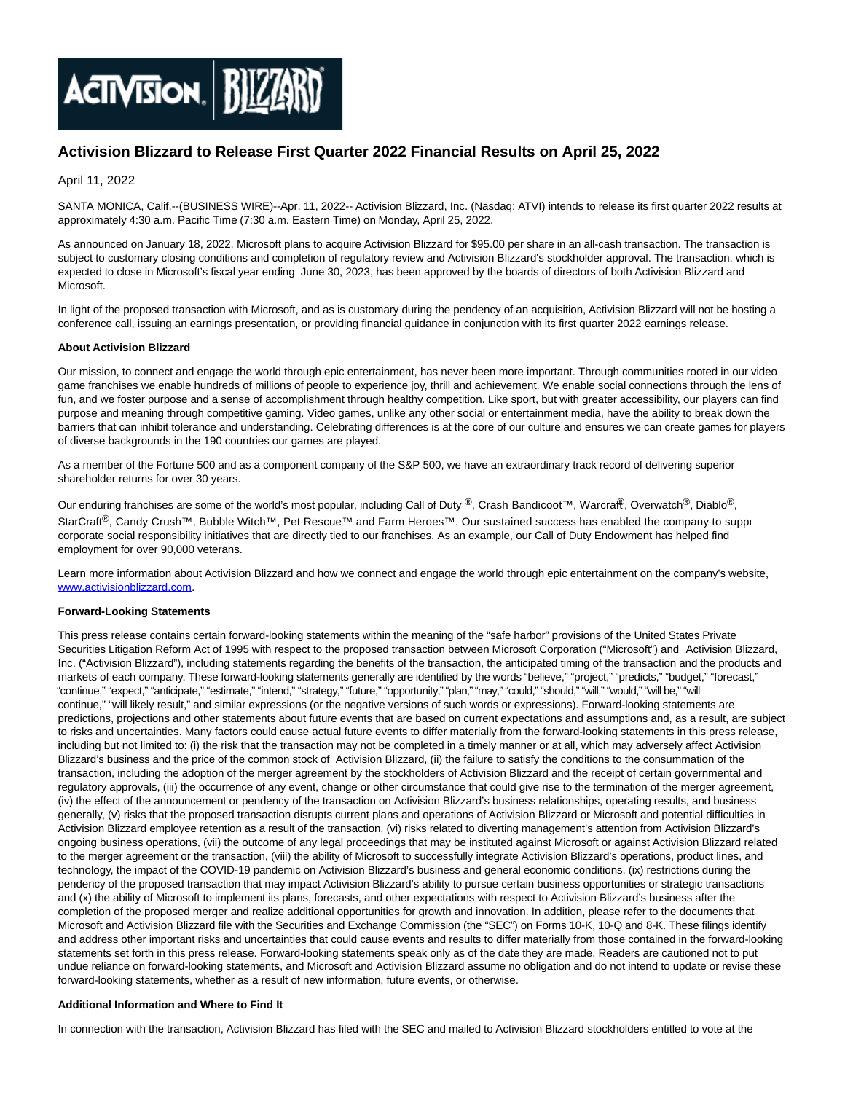

# **Activision Blizzard to Release First Quarter 2022 Financial Results on April 25, 2022**

## April 11, 2022

SANTA MONICA, Calif.--(BUSINESS WIRE)--Apr. 11, 2022-- Activision Blizzard, Inc. (Nasdaq: ATVI) intends to release its first quarter 2022 results at approximately 4:30 a.m. Pacific Time (7:30 a.m. Eastern Time) on Monday, April 25, 2022.

As announced on January 18, 2022, Microsoft plans to acquire Activision Blizzard for \$95.00 per share in an all-cash transaction. The transaction is subject to customary closing conditions and completion of regulatory review and Activision Blizzard's stockholder approval. The transaction, which is expected to close in Microsoft's fiscal year ending June 30, 2023, has been approved by the boards of directors of both Activision Blizzard and Microsoft.

In light of the proposed transaction with Microsoft, and as is customary during the pendency of an acquisition, Activision Blizzard will not be hosting a conference call, issuing an earnings presentation, or providing financial guidance in conjunction with its first quarter 2022 earnings release.

### **About Activision Blizzard**

Our mission, to connect and engage the world through epic entertainment, has never been more important. Through communities rooted in our video game franchises we enable hundreds of millions of people to experience joy, thrill and achievement. We enable social connections through the lens of fun, and we foster purpose and a sense of accomplishment through healthy competition. Like sport, but with greater accessibility, our players can find purpose and meaning through competitive gaming. Video games, unlike any other social or entertainment media, have the ability to break down the barriers that can inhibit tolerance and understanding. Celebrating differences is at the core of our culture and ensures we can create games for players of diverse backgrounds in the 190 countries our games are played.

As a member of the Fortune 500 and as a component company of the S&P 500, we have an extraordinary track record of delivering superior shareholder returns for over 30 years.

Our enduring franchises are some of the world's most popular, including Call of Duty ®, Crash Bandicoot™, Warcraft, Overwatch®, Diablo®, StarCraft<sup>®</sup>, Candy Crush™, Bubble Witch™, Pet Rescue™ and Farm Heroes™. Our sustained success has enabled the company to support corporate social responsibility initiatives that are directly tied to our franchises. As an example, our Call of Duty Endowment has helped find employment for over 90,000 veterans.

Learn more information about Activision Blizzard and how we connect and engage the world through epic entertainment on the company's website, [www.activisionblizzard.com.](https://cts.businesswire.com/ct/CT?id=smartlink&url=http%3A%2F%2Fwww.activisionblizzard.com&esheet=52674568&newsitemid=20220411005278&lan=en-US&anchor=www.activisionblizzard.com&index=1&md5=0c40782db91b0d6031988a183e9bf7bc)

### **Forward-Looking Statements**

This press release contains certain forward-looking statements within the meaning of the "safe harbor" provisions of the United States Private Securities Litigation Reform Act of 1995 with respect to the proposed transaction between Microsoft Corporation ("Microsoft") and Activision Blizzard, Inc. ("Activision Blizzard"), including statements regarding the benefits of the transaction, the anticipated timing of the transaction and the products and markets of each company. These forward-looking statements generally are identified by the words "believe," "project," "predicts," "budget," "forecast," "continue," "expect," "anticipate," "estimate," "intend," "strategy," "future," "opportunity," "plan," "may," "could," "should," "will," "would," "will be," "will continue," "will likely result," and similar expressions (or the negative versions of such words or expressions). Forward-looking statements are predictions, projections and other statements about future events that are based on current expectations and assumptions and, as a result, are subject to risks and uncertainties. Many factors could cause actual future events to differ materially from the forward-looking statements in this press release, including but not limited to: (i) the risk that the transaction may not be completed in a timely manner or at all, which may adversely affect Activision Blizzard's business and the price of the common stock of Activision Blizzard, (ii) the failure to satisfy the conditions to the consummation of the transaction, including the adoption of the merger agreement by the stockholders of Activision Blizzard and the receipt of certain governmental and regulatory approvals, (iii) the occurrence of any event, change or other circumstance that could give rise to the termination of the merger agreement, (iv) the effect of the announcement or pendency of the transaction on Activision Blizzard's business relationships, operating results, and business generally, (v) risks that the proposed transaction disrupts current plans and operations of Activision Blizzard or Microsoft and potential difficulties in Activision Blizzard employee retention as a result of the transaction, (vi) risks related to diverting management's attention from Activision Blizzard's ongoing business operations, (vii) the outcome of any legal proceedings that may be instituted against Microsoft or against Activision Blizzard related to the merger agreement or the transaction, (viii) the ability of Microsoft to successfully integrate Activision Blizzard's operations, product lines, and technology, the impact of the COVID-19 pandemic on Activision Blizzard's business and general economic conditions, (ix) restrictions during the pendency of the proposed transaction that may impact Activision Blizzard's ability to pursue certain business opportunities or strategic transactions and (x) the ability of Microsoft to implement its plans, forecasts, and other expectations with respect to Activision Blizzard's business after the completion of the proposed merger and realize additional opportunities for growth and innovation. In addition, please refer to the documents that Microsoft and Activision Blizzard file with the Securities and Exchange Commission (the "SEC") on Forms 10-K, 10-Q and 8-K. These filings identify and address other important risks and uncertainties that could cause events and results to differ materially from those contained in the forward-looking statements set forth in this press release. Forward-looking statements speak only as of the date they are made. Readers are cautioned not to put undue reliance on forward-looking statements, and Microsoft and Activision Blizzard assume no obligation and do not intend to update or revise these forward-looking statements, whether as a result of new information, future events, or otherwise.

### **Additional Information and Where to Find It**

In connection with the transaction, Activision Blizzard has filed with the SEC and mailed to Activision Blizzard stockholders entitled to vote at the